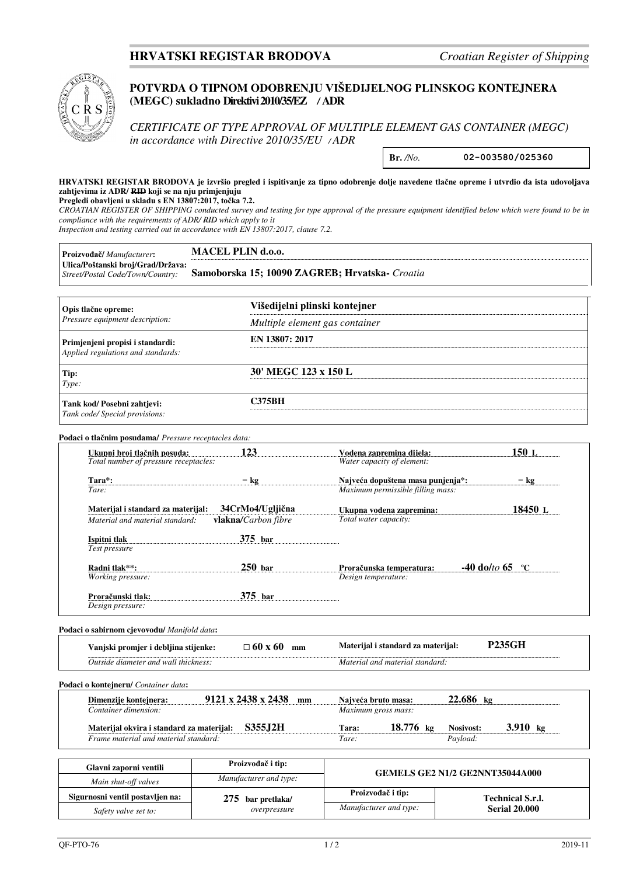## **HRVATSKI REGISTAR BRODOVA** *Croatian Register of Shipping*



## **POTVRDA O TIPNOM ODOBRENJU VIŠEDIJELNOG PLINSKOG KONTEJNERA (MEGC) sukladno Direktivi 2010/35/EZ** */* **ADR**

*CERTIFICATE OF TYPE APPROVAL OF MULTIPLE ELEMENT GAS CONTAINER (MEGC) in accordance with Directive 2010/35/EU / ADR*

**Br.** */No.* **02-003580/025360** 

**HRVATSKI REGISTAR BRODOVA je izvršio pregled i ispitivanje za tipno odobrenje dolje navedene tlačne opreme i utvrdio da ista udovoljava zahtjevima iz ADR/ RID koji se na nju primjenjuju** 

**Pregledi obavljeni u skladu s EN 13807:2017, točka 7.2.**

*CROATIAN REGISTER OF SHIPPING conducted survey and testing for type approval of the pressure equipment identified below which were found to be in compliance with the requirements of ADR/ RID which apply to it* 

*Inspection and testing carried out in accordance with EN 13807:2017, clause 7.2.*

| Proizvođač/Manufacturer:                                               | MACEL PLIN d.o.o.                              |  |  |  |
|------------------------------------------------------------------------|------------------------------------------------|--|--|--|
| Ulica/Poštanski broj/Grad/Država:<br>Street/Postal Code/Town/Country:  | Samoborska 15; 10090 ZAGREB; Hrvatska- Croatia |  |  |  |
| Opis tlačne opreme:                                                    | Višedijelni plinski kontejner                  |  |  |  |
| Pressure equipment description:                                        | Multiple element gas container                 |  |  |  |
| Primjenjeni propisi i standardi:<br>Applied regulations and standards: | EN 13807: 2017                                 |  |  |  |
| Tip:<br>Type:                                                          | 30' MEGC 123 x 150 L                           |  |  |  |

**Tank kod/ Posebni zahtjevi: C375BH**  *Tank code/ Special provisions:* 

#### **Podaci o tlačnim posudama/** *Pressure receptacles data:*

| Ukupni broi tlačnih posuda:           | 123                        | Vodena zapremina dijela:                   | 150 L       |  |
|---------------------------------------|----------------------------|--------------------------------------------|-------------|--|
| Total number of pressure receptacles: |                            | Water capacity of element:                 |             |  |
| Tara*:                                | $-$ kg                     | Najveća dopuštena masa punjenja*:          | $-$ kg      |  |
| Tare:                                 |                            | Maximum permissible filling mass:          |             |  |
| Materijal i standard za materijal:    | 34CrMo4/Ugljična           | Ukupna vodena zapremina:                   | 18450 L     |  |
| Material and material standard:       | <b>vlakna/Carbon</b> fibre | Total water capacity:                      |             |  |
| Ispitni tlak                          | $375$ bar                  |                                            |             |  |
| Test pressure                         |                            |                                            |             |  |
| Radni tlak**:                         | $250$ bar                  | $-40$ do/to 65<br>Proračunska temperatura: | $\rm ^{o}C$ |  |
| <i>Working pressure:</i>              |                            | Design temperature:                        |             |  |
| Proračunski tlak:                     | $375$ bar                  |                                            |             |  |
| Design pressure:                      |                            |                                            |             |  |

#### **Podaci o sabirnom cjevovodu/** *Manifold data***:**

| promier<br>i debliina<br>ani:/                       | -60<br>mm<br>nı. | laterijal<br>i standard za<br>materijal: |  |
|------------------------------------------------------|------------------|------------------------------------------|--|
| diameter and<br><i>thickness</i><br>Dutside.<br>wall |                  | material<br>Material<br>standard<br>and  |  |

#### **Podaci o kontejneru/** *Container data***:**

| Dimenziie konteinera:                     | 9121 x 2438 x 2438 |                 | mm | Naiveća bruto masa: |                       | $22.686$ kg |                   |  |
|-------------------------------------------|--------------------|-----------------|----|---------------------|-----------------------|-------------|-------------------|--|
| Container dimension:                      |                    |                 |    | Maximum gross mass: |                       |             |                   |  |
| Materijal okvira i standard za materijal: |                    | <b>S355.I2H</b> |    | Tara:               | $18.776 \; \text{kg}$ | Nosivost:   | 3.910 $\text{kg}$ |  |
| Frame material and material standard:     |                    |                 |    | Tare:               |                       | Pavload:    |                   |  |

| Glavni zaporni ventili           | Proizvođač i tip:      | <b>GEMELS GE2 N1/2 GE2NNT35044A000</b> |                         |  |
|----------------------------------|------------------------|----------------------------------------|-------------------------|--|
| Main shut-off valves             | Manufacturer and type: |                                        |                         |  |
| Sigurnosni ventil postavljen na: | $275$ bar pretlaka/    | Proizvođač i tip:                      | <b>Technical S.r.l.</b> |  |
| Safety valve set to:             | overpressure           | Manufacturer and type:                 | <b>Serial 20.000</b>    |  |